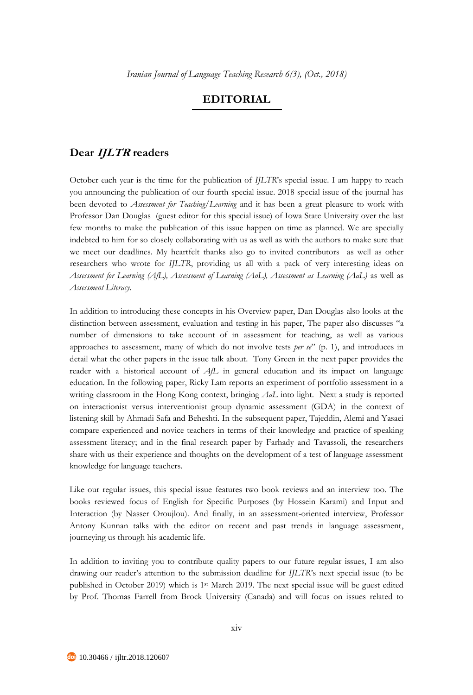## **EDITORIAL**

## **Dear IJLTR readers**

October each year is the time for the publication of *IJLTR*'s special issue. I am happy to reach you announcing the publication of our fourth special issue. 2018 special issue of the journal has been devoted to *Assessment for Teaching/Learning* and it has been a great pleasure to work with Professor Dan Douglas (guest editor for this special issue) of Iowa State University over the last few months to make the publication of this issue happen on time as planned. We are specially indebted to him for so closely collaborating with us as well as with the authors to make sure that we meet our deadlines. My heartfelt thanks also go to invited contributors as well as other researchers who wrote for *IJLTR*, providing us all with a pack of very interesting ideas on *Assessment for Learning (AfL), Assessment of Learning (AoL), Assessment as Learning (AaL)* as well as *Assessment Literacy*.

In addition to introducing these concepts in his Overview paper, Dan Douglas also looks at the distinction between assessment, evaluation and testing in his paper, The paper also discusses "a number of dimensions to take account of in assessment for teaching, as well as various approaches to assessment, many of which do not involve tests *per se*" (p. 1), and introduces in detail what the other papers in the issue talk about. Tony Green in the next paper provides the reader with a historical account of *AfL* in general education and its impact on language education. In the following paper, Ricky Lam reports an experiment of portfolio assessment in a writing classroom in the Hong Kong context, bringing *AaL* into light. Next a study is reported on interactionist versus interventionist group dynamic assessment (GDA) in the context of listening skill by Ahmadi Safa and Beheshti. In the subsequent paper, Tajeddin, Alemi and Yasaei compare experienced and novice teachers in terms of their knowledge and practice of speaking assessment literacy; and in the final research paper by Farhady and Tavassoli, the researchers share with us their experience and thoughts on the development of a test of language assessment knowledge for language teachers.

Like our regular issues, this special issue features two book reviews and an interview too. The books reviewed focus of English for Specific Purposes (by Hossein Karami) and Input and Interaction (by Nasser Oroujlou). And finally, in an assessment-oriented interview, Professor Antony Kunnan talks with the editor on recent and past trends in language assessment, journeying us through his academic life.

In addition to inviting you to contribute quality papers to our future regular issues, I am also drawing our reader's attention to the submission deadline for *IJLTR*'s next special issue (to be published in October 2019) which is 1st March 2019. The next special issue will be guest edited by Prof. Thomas Farrell from Brock University (Canada) and will focus on issues related to